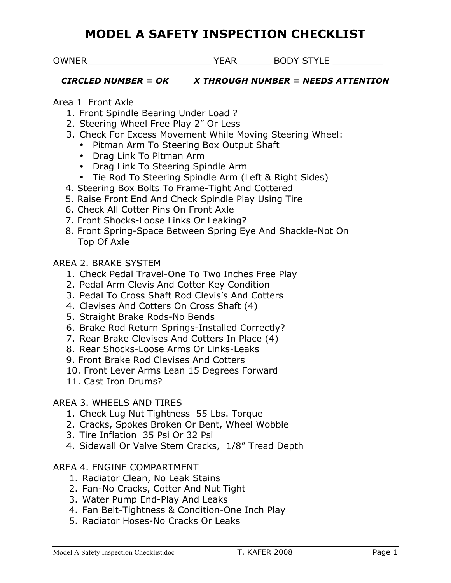## **MODEL A SAFETY INSPECTION CHECKLIST**

OWNER\_\_\_\_\_\_\_\_\_\_\_\_\_\_\_\_\_\_\_\_\_\_ YEAR\_\_\_\_\_\_ BODY STYLE \_\_\_\_\_\_\_\_\_

### *CIRCLED NUMBER = OK X THROUGH NUMBER = NEEDS ATTENTION*

### Area 1 Front Axle

- 1. Front Spindle Bearing Under Load ?
- 2. Steering Wheel Free Play 2" Or Less
- 3. Check For Excess Movement While Moving Steering Wheel:
	- Pitman Arm To Steering Box Output Shaft
	- Drag Link To Pitman Arm
	- Drag Link To Steering Spindle Arm
	- Tie Rod To Steering Spindle Arm (Left & Right Sides)
- 4. Steering Box Bolts To Frame-Tight And Cottered
- 5. Raise Front End And Check Spindle Play Using Tire
- 6. Check All Cotter Pins On Front Axle
- 7. Front Shocks-Loose Links Or Leaking?
- 8. Front Spring-Space Between Spring Eye And Shackle-Not On Top Of Axle

## AREA 2. BRAKE SYSTEM

- 1. Check Pedal Travel-One To Two Inches Free Play
- 2. Pedal Arm Clevis And Cotter Key Condition
- 3. Pedal To Cross Shaft Rod Clevis's And Cotters
- 4. Clevises And Cotters On Cross Shaft (4)
- 5. Straight Brake Rods-No Bends
- 6. Brake Rod Return Springs-Installed Correctly?
- 7. Rear Brake Clevises And Cotters In Place (4)
- 8. Rear Shocks-Loose Arms Or Links-Leaks
- 9. Front Brake Rod Clevises And Cotters
- 10. Front Lever Arms Lean 15 Degrees Forward
- 11. Cast Iron Drums?

## AREA 3. WHEELS AND TIRES

- 1. Check Lug Nut Tightness 55 Lbs. Torque
- 2. Cracks, Spokes Broken Or Bent, Wheel Wobble
- 3. Tire Inflation 35 Psi Or 32 Psi
- 4. Sidewall Or Valve Stem Cracks, 1/8" Tread Depth

## AREA 4. ENGINE COMPARTMENT

- 1. Radiator Clean, No Leak Stains
- 2. Fan-No Cracks, Cotter And Nut Tight
- 3. Water Pump End-Play And Leaks
- 4. Fan Belt-Tightness & Condition-One Inch Play
- 5. Radiator Hoses-No Cracks Or Leaks